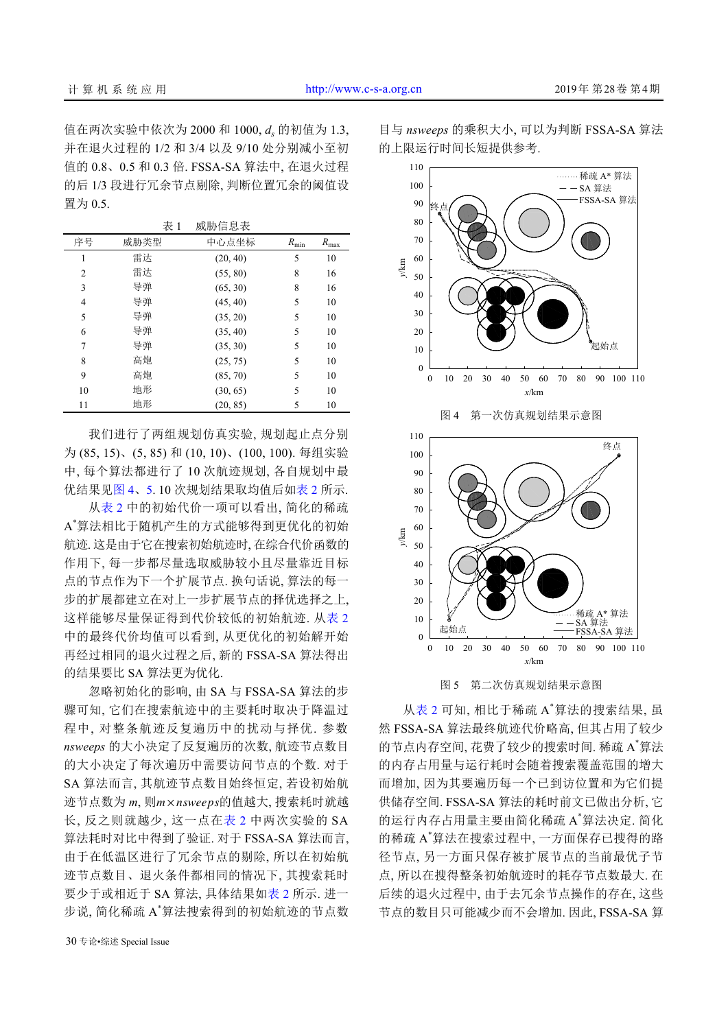值在两次实验中依次为 2000 和 1000, *d<sup>s</sup>* 的初值为 1.3, 并在退火过程的 1/2 和 3/4 以及 9/10 处分别减小至初 值的 0.8、0.5 和 0.3 倍. FSSA-SA 算法中, 在退火过程 的后 1/3 段进行冗余节点剔除, 判断位置冗余的阈值设 置为 0.5.

表 1 威胁信息表

| 序号             | 威胁类型 | 中心点坐标    | $R_{\rm min}$ | $R_{\rm max}$ |
|----------------|------|----------|---------------|---------------|
| 1              | 雷达   | (20, 40) | 5             | 10            |
| $\overline{c}$ | 雷达   | (55, 80) | 8             | 16            |
| 3              | 导弹   | (65, 30) | 8             | 16            |
| 4              | 导弹   | (45, 40) | 5             | 10            |
| 5              | 导弹   | (35, 20) | 5             | 10            |
| 6              | 导弹   | (35, 40) | 5             | 10            |
| 7              | 导弹   | (35, 30) | 5             | 10            |
| 8              | 高炮   | (25, 75) | 5             | 10            |
| 9              | 高炮   | (85, 70) | 5             | 10            |
| 10             | 地形   | (30, 65) | 5             | 10            |
| 11             | 地形   | (20, 85) | 5             | 10            |

我们进行了两组规划仿真实验, 规划起止点分别 为 (85, 15)、(5, 85) 和 (10, 10)、(100, 100). 每组实验 中, 每个算法都进行了 10 次航迹规划, 各自规划中最 优结果[见图](#page-5-0) [4](#page-5-0)、[5](#page-5-1). 10 次规划结果取均值后[如表](#page-6-0) [2](#page-6-0) 所示.

从[表](#page-6-0) [2](#page-6-0) 中的初始代价一项可以看出, 简化的稀疏 A \*算法相比于随机产生的方式能够得到更优化的初始 航迹. 这是由于它在搜索初始航迹时, 在综合代价函数的 作用下, 每一步都尽量选取威胁较小且尽量靠近目标 点的节点作为下一个扩展节点. 换句话说, 算法的每一 步的扩展都建立在对上一步扩展节点的择优选择之上, 这样能够尽量保证得到代价较低的初始航迹. 从[表](#page-6-0) [2](#page-6-0) 中的最终代价均值可以看到, 从更优化的初始解开始 再经过相同的退火过程之后, 新的 FSSA-SA 算法得出 的结果要比 SA 算法更为优化.

迹节点数为 *m*, 则m×nsweeps的值越大, 搜索耗时就越 忽略初始化的影响, 由 SA 与 FSSA-SA 算法的步 骤可知, 它们在搜索航迹中的主要耗时取决于降温过 程中, 对整条航迹反复遍历中的扰动与择优. 参数 *nsweeps* 的大小决定了反复遍历的次数, 航迹节点数目 的大小决定了每次遍历中需要访问节点的个数. 对于 SA 算法而言, 其航迹节点数目始终恒定, 若设初始航 长, 反之则就越少, 这一点在[表](#page-6-0) [2](#page-6-0) 中两次实验的 SA 算法耗时对比中得到了验证. 对于 FSSA-SA 算法而言, 由于在低温区进行了冗余节点的剔除, 所以在初始航 迹节点数目、退火条件都相同的情况下, 其搜索耗时 要少于或相近于 SA 算法, 具体结果如[表](#page-6-0) [2](#page-6-0) 所示. 进一 步说, 简化稀疏 A \*算法搜索得到的初始航迹的节点数

目与 *nsweeps* 的乘积大小, 可以为判断 FSSA-SA 算法 的上限运行时间长短提供参考.

<span id="page-5-0"></span>

图 5 第二次仿真规划结果示意图

<span id="page-5-1"></span>从[表](#page-6-0) [2](#page-6-0) 可知, 相比于稀疏 A <sup>\*</sup>算法的搜索结果, 虽 然 FSSA-SA 算法最终航迹代价略高, 但其占用了较少 的节点内存空间, 花费了较少的搜索时间. 稀疏 A<sup>\*</sup>算法 的内存占用量与运行耗时会随着搜索覆盖范围的增大 而增加, 因为其要遍历每一个已到访位置和为它们提 供储存空间. FSSA-SA 算法的耗时前文已做出分析, 它 的运行内存占用量主要由简化稀疏 A <sup>\*</sup>算法决定. 简化 的稀疏 A \*算法在搜索过程中, 一方面保存已搜得的路 径节点, 另一方面只保存被扩展节点的当前最优子节 点, 所以在搜得整条初始航迹时的耗存节点数最大. 在 后续的退火过程中, 由于去冗余节点操作的存在, 这些 节点的数目只可能减少而不会增加. 因此, FSSA-SA 算